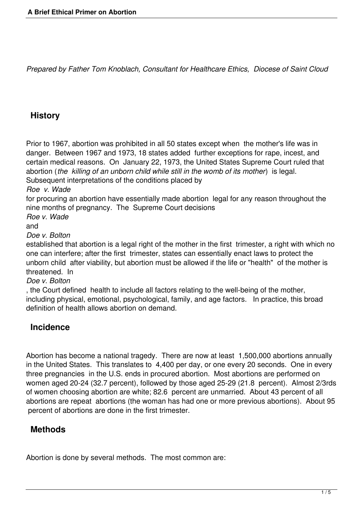*Prepared by Father Tom Knoblach, Consultant for Healthcare Ethics, Diocese of Saint Cloud* 

## **History**

Prior to 1967, abortion was prohibited in all 50 states except when the mother's life was in danger. Between 1967 and 1973, 18 states added further exceptions for rape, incest, and certain medical reasons. On January 22, 1973, the United States Supreme Court ruled that abortion (*the killing of an unborn child while still in the womb of its mother*) is legal. Subsequent interpretations of the conditions placed by

*Roe v. Wade*

for procuring an abortion have essentially made abortion legal for any reason throughout the nine months of pregnancy. The Supreme Court decisions

*Roe v. Wade*

and

*Doe v. Bolton*

established that abortion is a legal right of the mother in the first trimester, a right with which no one can interfere; after the first trimester, states can essentially enact laws to protect the unborn child after viability, but abortion must be allowed if the life or "health" of the mother is threatened. In

*Doe v. Bolton*

, the Court defined health to include all factors relating to the well-being of the mother, including physical, emotional, psychological, family, and age factors. In practice, this broad definition of health allows abortion on demand.

### **Incidence**

Abortion has become a national tragedy. There are now at least 1,500,000 abortions annually in the United States. This translates to 4,400 per day, or one every 20 seconds. One in every three pregnancies in the U.S. ends in procured abortion. Most abortions are performed on women aged 20-24 (32.7 percent), followed by those aged 25-29 (21.8 percent). Almost 2/3rds of women choosing abortion are white; 82.6 percent are unmarried. About 43 percent of all abortions are repeat abortions (the woman has had one or more previous abortions). About 95 percent of abortions are done in the first trimester.

#### **Methods**

Abortion is done by several methods. The most common are: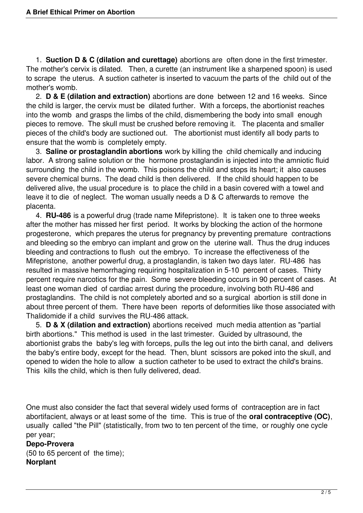1. **Suction D & C (dilation and curettage)** abortions are often done in the first trimester. The mother's cervix is dilated. Then, a curette (an instrument like a sharpened spoon) is used to scrape the uterus. A suction catheter is inserted to vacuum the parts of the child out of the mother's womb.

 2. **D & E (dilation and extraction)** abortions are done between 12 and 16 weeks. Since the child is larger, the cervix must be dilated further. With a forceps, the abortionist reaches into the womb and grasps the limbs of the child, dismembering the body into small enough pieces to remove. The skull must be crushed before removing it. The placenta and smaller pieces of the child's body are suctioned out. The abortionist must identify all body parts to ensure that the womb is completely empty.

 3. **Saline or prostaglandin abortions** work by killing the child chemically and inducing labor. A strong saline solution or the hormone prostaglandin is injected into the amniotic fluid surrounding the child in the womb. This poisons the child and stops its heart; it also causes severe chemical burns. The dead child is then delivered. If the child should happen to be delivered alive, the usual procedure is to place the child in a basin covered with a towel and leave it to die of neglect. The woman usually needs a D & C afterwards to remove the placenta.

 4. **RU-486** is a powerful drug (trade name Mifepristone). It is taken one to three weeks after the mother has missed her first period. It works by blocking the action of the hormone progesterone, which prepares the uterus for pregnancy by preventing premature contractions and bleeding so the embryo can implant and grow on the uterine wall. Thus the drug induces bleeding and contractions to flush out the embryo. To increase the effectiveness of the Mifepristone, another powerful drug, a prostaglandin, is taken two days later. RU-486 has resulted in massive hemorrhaging requiring hospitalization in 5-10 percent of cases. Thirty percent require narcotics for the pain. Some severe bleeding occurs in 90 percent of cases. At least one woman died of cardiac arrest during the procedure, involving both RU-486 and prostaglandins. The child is not completely aborted and so a surgical abortion is still done in about three percent of them. There have been reports of deformities like those associated with Thalidomide if a child survives the RU-486 attack.

 5. **D & X (dilation and extraction)** abortions received much media attention as "partial birth abortions." This method is used in the last trimester. Guided by ultrasound, the abortionist grabs the baby's leg with forceps, pulls the leg out into the birth canal, and delivers the baby's entire body, except for the head. Then, blunt scissors are poked into the skull, and opened to widen the hole to allow a suction catheter to be used to extract the child's brains. This kills the child, which is then fully delivered, dead.

One must also consider the fact that several widely used forms of contraception are in fact abortifacient, always or at least some of the time. This is true of the **oral contraceptive (OC)**, usually called "the Pill" (statistically, from two to ten percent of the time, or roughly one cycle per year;

#### **Depo-Provera** (50 to 65 percent of the time); **Norplant**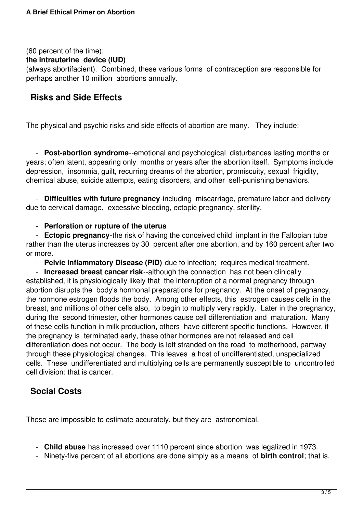(60 percent of the time);

#### **the intrauterine device (IUD)**

(always abortifacient). Combined, these various forms of contraception are responsible for perhaps another 10 million abortions annually.

### **Risks and Side Effects**

The physical and psychic risks and side effects of abortion are many. They include:

 - **Post-abortion syndrome**--emotional and psychological disturbances lasting months or years; often latent, appearing only months or years after the abortion itself. Symptoms include depression, insomnia, guilt, recurring dreams of the abortion, promiscuity, sexual frigidity, chemical abuse, suicide attempts, eating disorders, and other self-punishing behaviors.

 - **Difficulties with future pregnancy**-including miscarriage, premature labor and delivery due to cervical damage, excessive bleeding, ectopic pregnancy, sterility.

#### - **Perforation or rupture of the uterus**

 - **Ectopic pregnancy**-the risk of having the conceived child implant in the Fallopian tube rather than the uterus increases by 30 percent after one abortion, and by 160 percent after two or more.

- **Pelvic Inflammatory Disease (PID)**-due to infection; requires medical treatment.

 - **Increased breast cancer risk**--although the connection has not been clinically established, it is physiologically likely that the interruption of a normal pregnancy through abortion disrupts the body's hormonal preparations for pregnancy. At the onset of pregnancy, the hormone estrogen floods the body. Among other effects, this estrogen causes cells in the breast, and millions of other cells also, to begin to multiply very rapidly. Later in the pregnancy, during the second trimester, other hormones cause cell differentiation and maturation. Many of these cells function in milk production, others have different specific functions. However, if the pregnancy is terminated early, these other hormones are not released and cell differentiation does not occur. The body is left stranded on the road to motherhood, partway through these physiological changes. This leaves a host of undifferentiated, unspecialized cells. These undifferentiated and multiplying cells are permanently susceptible to uncontrolled cell division: that is cancer.

### **Social Costs**

These are impossible to estimate accurately, but they are astronomical.

- **Child abuse** has increased over 1110 percent since abortion was legalized in 1973.
- Ninety-five percent of all abortions are done simply as a means of **birth control**; that is,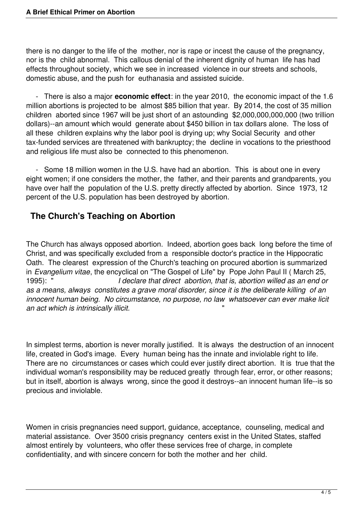there is no danger to the life of the mother, nor is rape or incest the cause of the pregnancy, nor is the child abnormal. This callous denial of the inherent dignity of human life has had effects throughout society, which we see in increased violence in our streets and schools, domestic abuse, and the push for euthanasia and assisted suicide.

 - There is also a major **economic effect**: in the year 2010, the economic impact of the 1.6 million abortions is projected to be almost \$85 billion that year. By 2014, the cost of 35 million children aborted since 1967 will be just short of an astounding \$2,000,000,000,000 (two trillion dollars)--an amount which would generate about \$450 billion in tax dollars alone. The loss of all these children explains why the labor pool is drying up; why Social Security and other tax-funded services are threatened with bankruptcy; the decline in vocations to the priesthood and religious life must also be connected to this phenomenon.

 - Some 18 million women in the U.S. have had an abortion. This is about one in every eight women; if one considers the mother, the father, and their parents and grandparents, you have over half the population of the U.S. pretty directly affected by abortion. Since 1973, 12 percent of the U.S. population has been destroyed by abortion.

# **The Church's Teaching on Abortion**

The Church has always opposed abortion. Indeed, abortion goes back long before the time of Christ, and was specifically excluded from a responsible doctor's practice in the Hippocratic Oath. The clearest expression of the Church's teaching on procured abortion is summarized in *Evangelium vitae*, the encyclical on "The Gospel of Life" by Pope John Paul II ( March 25, I declare that direct abortion, that is, abortion willed as an end or *as a means, always constitutes a grave moral disorder, since it is the deliberate killing of an innocent human being. No circumstance, no purpose, no law whatsoever can ever make licit an act which is intrinsically illicit.* "

In simplest terms, abortion is never morally justified. It is always the destruction of an innocent life, created in God's image. Every human being has the innate and inviolable right to life. There are no circumstances or cases which could ever justify direct abortion. It is true that the individual woman's responsibility may be reduced greatly through fear, error, or other reasons; but in itself, abortion is always wrong, since the good it destroys--an innocent human life--is so precious and inviolable.

Women in crisis pregnancies need support, guidance, acceptance, counseling, medical and material assistance. Over 3500 crisis pregnancy centers exist in the United States, staffed almost entirely by volunteers, who offer these services free of charge, in complete confidentiality, and with sincere concern for both the mother and her child.